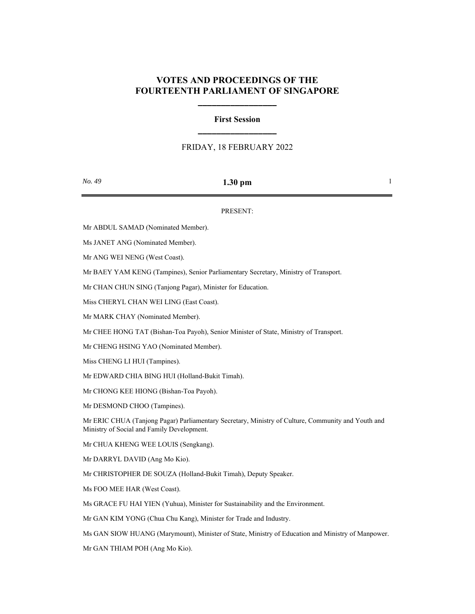## **VOTES AND PROCEEDINGS OF THE FOURTEENTH PARLIAMENT OF SINGAPORE**

**\_\_\_\_\_\_\_\_\_\_\_\_\_\_\_\_\_**

# **First Session \_\_\_\_\_\_\_\_\_\_\_\_\_\_\_\_\_**

## FRIDAY, 18 FEBRUARY 2022

| No. | 49 |
|-----|----|
|     |    |

### *No. 49* **<b>1.30 pm** 1

#### PRESENT:

Mr ABDUL SAMAD (Nominated Member).

Ms JANET ANG (Nominated Member).

Mr ANG WEI NENG (West Coast).

Mr BAEY YAM KENG (Tampines), Senior Parliamentary Secretary, Ministry of Transport.

Mr CHAN CHUN SING (Tanjong Pagar), Minister for Education.

Miss CHERYL CHAN WEI LING (East Coast).

Mr MARK CHAY (Nominated Member).

Mr CHEE HONG TAT (Bishan-Toa Payoh), Senior Minister of State, Ministry of Transport.

Mr CHENG HSING YAO (Nominated Member).

Miss CHENG LI HUI (Tampines).

Mr EDWARD CHIA BING HUI (Holland-Bukit Timah).

Mr CHONG KEE HIONG (Bishan-Toa Payoh).

Mr DESMOND CHOO (Tampines).

Mr ERIC CHUA (Tanjong Pagar) Parliamentary Secretary, Ministry of Culture, Community and Youth and Ministry of Social and Family Development.

Mr CHUA KHENG WEE LOUIS (Sengkang).

Mr DARRYL DAVID (Ang Mo Kio).

Mr CHRISTOPHER DE SOUZA (Holland-Bukit Timah), Deputy Speaker.

Ms FOO MEE HAR (West Coast).

Ms GRACE FU HAI YIEN (Yuhua), Minister for Sustainability and the Environment.

Mr GAN KIM YONG (Chua Chu Kang), Minister for Trade and Industry.

Ms GAN SIOW HUANG (Marymount), Minister of State, Ministry of Education and Ministry of Manpower.

Mr GAN THIAM POH (Ang Mo Kio).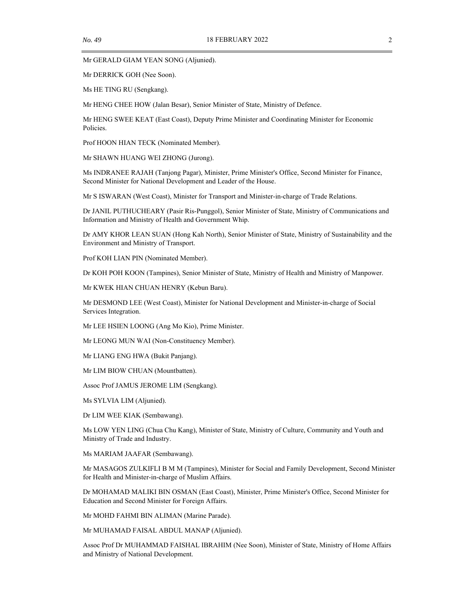Mr GERALD GIAM YEAN SONG (Aljunied).

Mr DERRICK GOH (Nee Soon).

Ms HE TING RU (Sengkang).

Mr HENG CHEE HOW (Jalan Besar), Senior Minister of State, Ministry of Defence.

Mr HENG SWEE KEAT (East Coast), Deputy Prime Minister and Coordinating Minister for Economic Policies.

Prof HOON HIAN TECK (Nominated Member).

Mr SHAWN HUANG WEI ZHONG (Jurong).

Ms INDRANEE RAJAH (Tanjong Pagar), Minister, Prime Minister's Office, Second Minister for Finance, Second Minister for National Development and Leader of the House.

Mr S ISWARAN (West Coast), Minister for Transport and Minister-in-charge of Trade Relations.

Dr JANIL PUTHUCHEARY (Pasir Ris-Punggol), Senior Minister of State, Ministry of Communications and Information and Ministry of Health and Government Whip.

Dr AMY KHOR LEAN SUAN (Hong Kah North), Senior Minister of State, Ministry of Sustainability and the Environment and Ministry of Transport.

Prof KOH LIAN PIN (Nominated Member).

Dr KOH POH KOON (Tampines), Senior Minister of State, Ministry of Health and Ministry of Manpower.

Mr KWEK HIAN CHUAN HENRY (Kebun Baru).

Mr DESMOND LEE (West Coast), Minister for National Development and Minister-in-charge of Social Services Integration.

Mr LEE HSIEN LOONG (Ang Mo Kio), Prime Minister.

Mr LEONG MUN WAI (Non-Constituency Member).

Mr LIANG ENG HWA (Bukit Panjang).

Mr LIM BIOW CHUAN (Mountbatten).

Assoc Prof JAMUS JEROME LIM (Sengkang).

Ms SYLVIA LIM (Aljunied).

Dr LIM WEE KIAK (Sembawang).

Ms LOW YEN LING (Chua Chu Kang), Minister of State, Ministry of Culture, Community and Youth and Ministry of Trade and Industry.

Ms MARIAM JAAFAR (Sembawang).

Mr MASAGOS ZULKIFLI B M M (Tampines), Minister for Social and Family Development, Second Minister for Health and Minister-in-charge of Muslim Affairs.

Dr MOHAMAD MALIKI BIN OSMAN (East Coast), Minister, Prime Minister's Office, Second Minister for Education and Second Minister for Foreign Affairs.

Mr MOHD FAHMI BIN ALIMAN (Marine Parade).

Mr MUHAMAD FAISAL ABDUL MANAP (Aljunied).

Assoc Prof Dr MUHAMMAD FAISHAL IBRAHIM (Nee Soon), Minister of State, Ministry of Home Affairs and Ministry of National Development.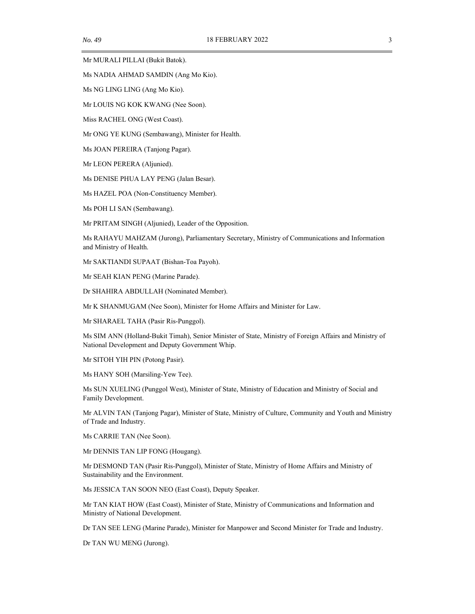Mr MURALI PILLAI (Bukit Batok).

Ms NADIA AHMAD SAMDIN (Ang Mo Kio).

Ms NG LING LING (Ang Mo Kio).

Mr LOUIS NG KOK KWANG (Nee Soon).

Miss RACHEL ONG (West Coast).

Mr ONG YE KUNG (Sembawang), Minister for Health.

Ms JOAN PEREIRA (Tanjong Pagar).

Mr LEON PERERA (Aljunied).

Ms DENISE PHUA LAY PENG (Jalan Besar).

Ms HAZEL POA (Non-Constituency Member).

Ms POH LI SAN (Sembawang).

Mr PRITAM SINGH (Aljunied), Leader of the Opposition.

Ms RAHAYU MAHZAM (Jurong), Parliamentary Secretary, Ministry of Communications and Information and Ministry of Health.

Mr SAKTIANDI SUPAAT (Bishan-Toa Payoh).

Mr SEAH KIAN PENG (Marine Parade).

Dr SHAHIRA ABDULLAH (Nominated Member).

Mr K SHANMUGAM (Nee Soon), Minister for Home Affairs and Minister for Law.

Mr SHARAEL TAHA (Pasir Ris-Punggol).

Ms SIM ANN (Holland-Bukit Timah), Senior Minister of State, Ministry of Foreign Affairs and Ministry of National Development and Deputy Government Whip.

Mr SITOH YIH PIN (Potong Pasir).

Ms HANY SOH (Marsiling-Yew Tee).

Ms SUN XUELING (Punggol West), Minister of State, Ministry of Education and Ministry of Social and Family Development.

Mr ALVIN TAN (Tanjong Pagar), Minister of State, Ministry of Culture, Community and Youth and Ministry of Trade and Industry.

Ms CARRIE TAN (Nee Soon).

Mr DENNIS TAN LIP FONG (Hougang).

Mr DESMOND TAN (Pasir Ris-Punggol), Minister of State, Ministry of Home Affairs and Ministry of Sustainability and the Environment.

Ms JESSICA TAN SOON NEO (East Coast), Deputy Speaker.

Mr TAN KIAT HOW (East Coast), Minister of State, Ministry of Communications and Information and Ministry of National Development.

Dr TAN SEE LENG (Marine Parade), Minister for Manpower and Second Minister for Trade and Industry.

Dr TAN WU MENG (Jurong).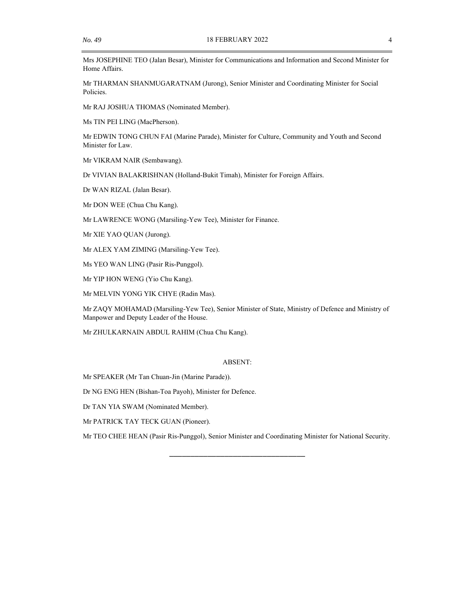Mrs JOSEPHINE TEO (Jalan Besar), Minister for Communications and Information and Second Minister for Home Affairs.

Mr THARMAN SHANMUGARATNAM (Jurong), Senior Minister and Coordinating Minister for Social Policies.

Mr RAJ JOSHUA THOMAS (Nominated Member).

Ms TIN PEI LING (MacPherson).

Mr EDWIN TONG CHUN FAI (Marine Parade), Minister for Culture, Community and Youth and Second Minister for Law.

Mr VIKRAM NAIR (Sembawang).

Dr VIVIAN BALAKRISHNAN (Holland-Bukit Timah), Minister for Foreign Affairs.

Dr WAN RIZAL (Jalan Besar).

Mr DON WEE (Chua Chu Kang).

Mr LAWRENCE WONG (Marsiling-Yew Tee), Minister for Finance.

Mr XIE YAO QUAN (Jurong).

Mr ALEX YAM ZIMING (Marsiling-Yew Tee).

Ms YEO WAN LING (Pasir Ris-Punggol).

Mr YIP HON WENG (Yio Chu Kang).

Mr MELVIN YONG YIK CHYE (Radin Mas).

Mr ZAQY MOHAMAD (Marsiling-Yew Tee), Senior Minister of State, Ministry of Defence and Ministry of Manpower and Deputy Leader of the House.

Mr ZHULKARNAIN ABDUL RAHIM (Chua Chu Kang).

#### ABSENT:

Mr SPEAKER (Mr Tan Chuan-Jin (Marine Parade)).

Dr NG ENG HEN (Bishan-Toa Payoh), Minister for Defence.

Dr TAN YIA SWAM (Nominated Member).

Mr PATRICK TAY TECK GUAN (Pioneer).

Mr TEO CHEE HEAN (Pasir Ris-Punggol), Senior Minister and Coordinating Minister for National Security.

\_\_\_\_\_\_\_\_\_\_\_\_\_\_\_\_\_\_\_\_\_\_\_\_\_\_\_\_\_\_\_\_